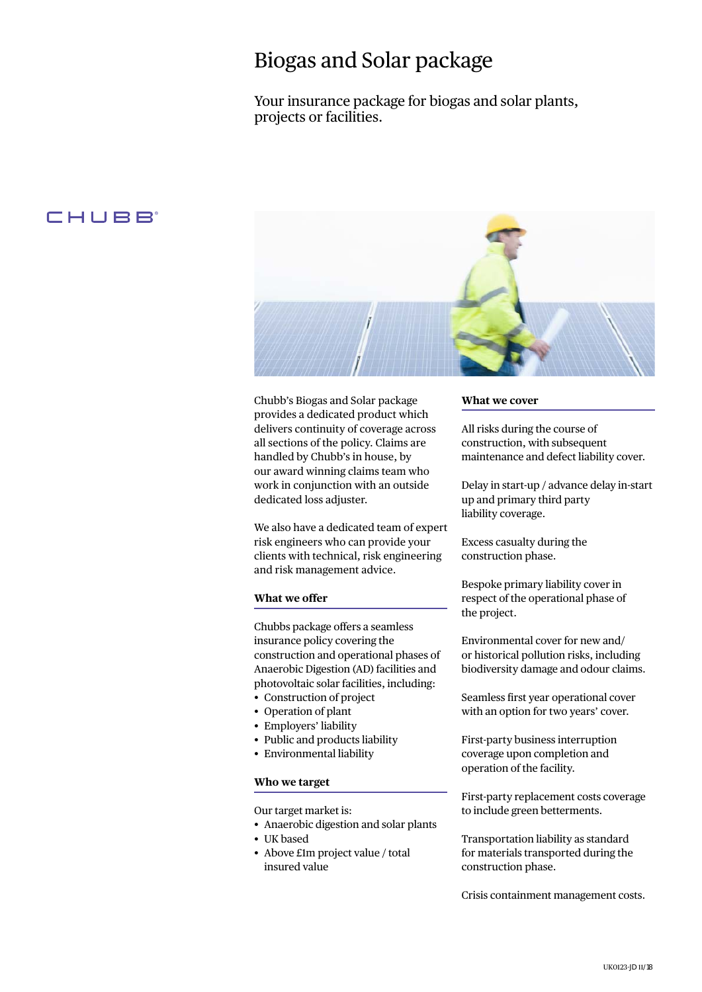# Biogas and Solar package

Your insurance package for biogas and solar plants, projects or facilities.

# CHUBB



Chubb's Biogas and Solar package provides a dedicated product which delivers continuity of coverage across all sections of the policy. Claims are handled by Chubb's in house, by our award winning claims team who work in conjunction with an outside dedicated loss adjuster.

We also have a dedicated team of expert risk engineers who can provide your clients with technical, risk engineering and risk management advice.

### **What we offer**

Chubbs package offers a seamless insurance policy covering the construction and operational phases of Anaerobic Digestion (AD) facilities and photovoltaic solar facilities, including:

- Construction of project
- Operation of plant
- Employers' liability • Public and products liability
- Environmental liability
- 

## **Who we target**

Our target market is:

- • Anaerobic digestion and solar plants
- UK based
- Above £1m project value / total insured value

#### **What we cover**

All risks during the course of construction, with subsequent maintenance and defect liability cover.

Delay in start-up / advance delay in-start up and primary third party liability coverage.

Excess casualty during the construction phase.

Bespoke primary liability cover in respect of the operational phase of the project.

Environmental cover for new and/ or historical pollution risks, including biodiversity damage and odour claims.

Seamless first year operational cover with an option for two years' cover.

First-party business interruption coverage upon completion and operation of the facility.

First-party replacement costs coverage to include green betterments.

Transportation liability as standard for materials transported during the construction phase.

Crisis containment management costs.